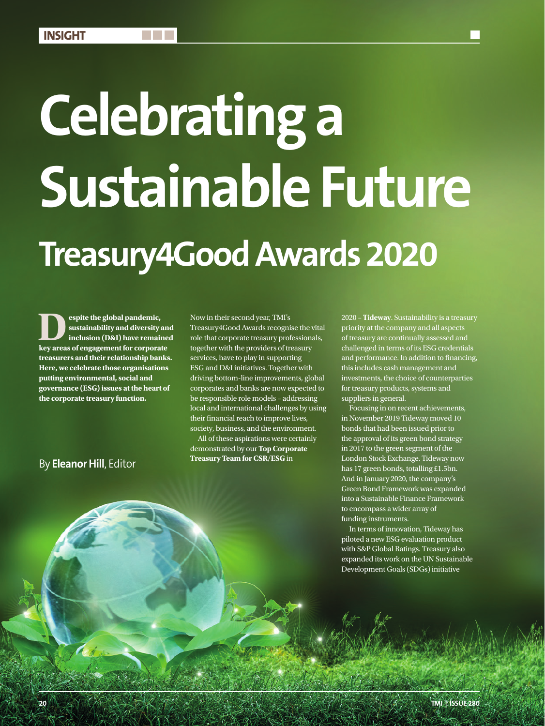## **Celebrating a Sustainable Future Treasury4Good Awards 2020**

**Despite the global pandemic,**<br>sustainability and diversity inclusion (D&I) have remain<br>key areas of engagement for cornoral **sustainability and diversity and inclusion (D&I) have remained key areas of engagement for corporate treasurers and their relationship banks. Here, we celebrate those organisations putting environmental, social and governance (ESG) issues at the heart of the corporate treasury function.**

Now in their second year, TMI's Treasury4Good Awards recognise the vital role that corporate treasury professionals, together with the providers of treasury services, have to play in supporting ESG and D&I initiatives. Together with driving bottom-line improvements, global corporates and banks are now expected to be responsible role models – addressing local and international challenges by using their financial reach to improve lives, society, business, and the environment.

All of these aspirations were certainly demonstrated by our **Top Corporate Treasury Team for CSR/ESG** in

2020 – **Tideway**. Sustainability is a treasury priority at the company and all aspects of treasury are continually assessed and challenged in terms of its ESG credentials and performance. In addition to financing, this includes cash management and investments, the choice of counterparties for treasury products, systems and suppliers in general.

Focusing in on recent achievements, in November 2019 Tideway moved 10 bonds that had been issued prior to the approval of its green bond strategy in 2017 to the green segment of the London Stock Exchange. Tideway now has 17 green bonds, totalling £1.5bn. And in January 2020, the company's Green Bond Framework was expanded into a Sustainable Finance Framework to encompass a wider array of funding instruments.

In terms of innovation, Tideway has piloted a new ESG evaluation product with S&P Global Ratings. Treasury also expanded its work on the UN Sustainable Development Goals (SDGs) initiative

## By **Eleanor Hill**, Editor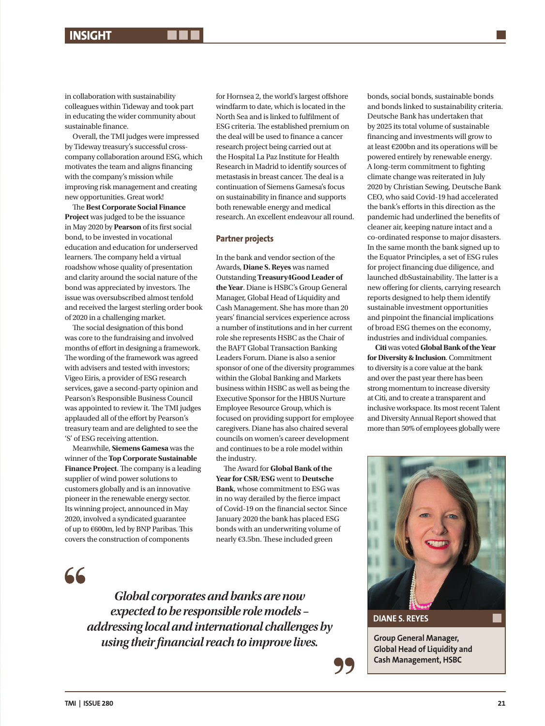in collaboration with sustainability colleagues within Tideway and took part in educating the wider community about sustainable finance.

Overall, the TMI judges were impressed by Tideway treasury's successful crosscompany collaboration around ESG, which motivates the team and aligns financing with the company's mission while improving risk management and creating new opportunities. Great work!

The **Best Corporate Social Finance Project** was judged to be the issuance in May 2020 by **Pearson** of its first social bond, to be invested in vocational education and education for underserved learners. The company held a virtual roadshow whose quality of presentation and clarity around the social nature of the bond was appreciated by investors. The issue was oversubscribed almost tenfold and received the largest sterling order book of 2020 in a challenging market.

The social designation of this bond was core to the fundraising and involved months of effort in designing a framework. The wording of the framework was agreed with advisers and tested with investors; Vigeo Eiris, a provider of ESG research services, gave a second-party opinion and Pearson's Responsible Business Council was appointed to review it. The TMI judges applauded all of the effort by Pearson's treasury team and are delighted to see the 'S' of ESG receiving attention.

Meanwhile, **Siemens Gamesa** was the winner of the **Top Corporate Sustainable Finance Project**. The company is a leading supplier of wind power solutions to customers globally and is an innovative pioneer in the renewable energy sector. Its winning project, announced in May 2020, involved a syndicated guarantee of up to €600m, led by BNP Paribas. This covers the construction of components

for Hornsea 2, the world's largest offshore windfarm to date, which is located in the North Sea and is linked to fulfilment of ESG criteria. The established premium on the deal will be used to finance a cancer research project being carried out at the Hospital La Paz Institute for Health Research in Madrid to identify sources of metastasis in breast cancer. The deal is a continuation of Siemens Gamesa's focus on sustainability in finance and supports both renewable energy and medical research. An excellent endeavour all round.

## **Partner projects**

In the bank and vendor section of the Awards, **Diane S. Reyes** was named Outstanding **Treasury4Good Leader of the Year**. Diane is HSBC's Group General Manager, Global Head of Liquidity and Cash Management. She has more than 20 years' financial services experience across a number of institutions and in her current role she represents HSBC as the Chair of the BAFT Global Transaction Banking Leaders Forum. Diane is also a senior sponsor of one of the diversity programmes within the Global Banking and Markets business within HSBC as well as being the Executive Sponsor for the HBUS Nurture Employee Resource Group, which is focused on providing support for employee caregivers. Diane has also chaired several councils on women's career development and continues to be a role model within the industry.

The Award for **Global Bank of the Year for CSR/ESG** went to **Deutsche Bank**, whose commitment to ESG was in no way derailed by the fierce impact of Covid-19 on the financial sector. Since January 2020 the bank has placed ESG bonds with an underwriting volume of nearly €3.5bn. These included green

bonds, social bonds, sustainable bonds and bonds linked to sustainability criteria. Deutsche Bank has undertaken that by 2025 its total volume of sustainable financing and investments will grow to at least €200bn and its operations will be powered entirely by renewable energy. A long-term commitment to fighting climate change was reiterated in July 2020 by Christian Sewing, Deutsche Bank CEO, who said Covid-19 had accelerated the bank's efforts in this direction as the pandemic had underlined the benefits of cleaner air, keeping nature intact and a co-ordinated response to major disasters. In the same month the bank signed up to the Equator Principles, a set of ESG rules for project financing due diligence, and launched dbSustainability. The latter is a new offering for clients, carrying research reports designed to help them identify sustainable investment opportunities and pinpoint the financial implications of broad ESG themes on the economy, industries and individual companies.

**Citi** was voted **Global Bank of the Year for Diversity & Inclusion**. Commitment to diversity is a core value at the bank and over the past year there has been strong momentum to increase diversity at Citi, and to create a transparent and inclusive workspace. Its most recent Talent and Diversity Annual Report showed that more than 50% of employees globally were



**DIANE S. REYES**

**Global Head of Liquidity and Cash Management, HSBC**

66

*Global corporates and banks are now expected to be responsible role models – addressing local and international challenges by*  **using their financial reach to improve lives. Group General Manager, Group General Manager**